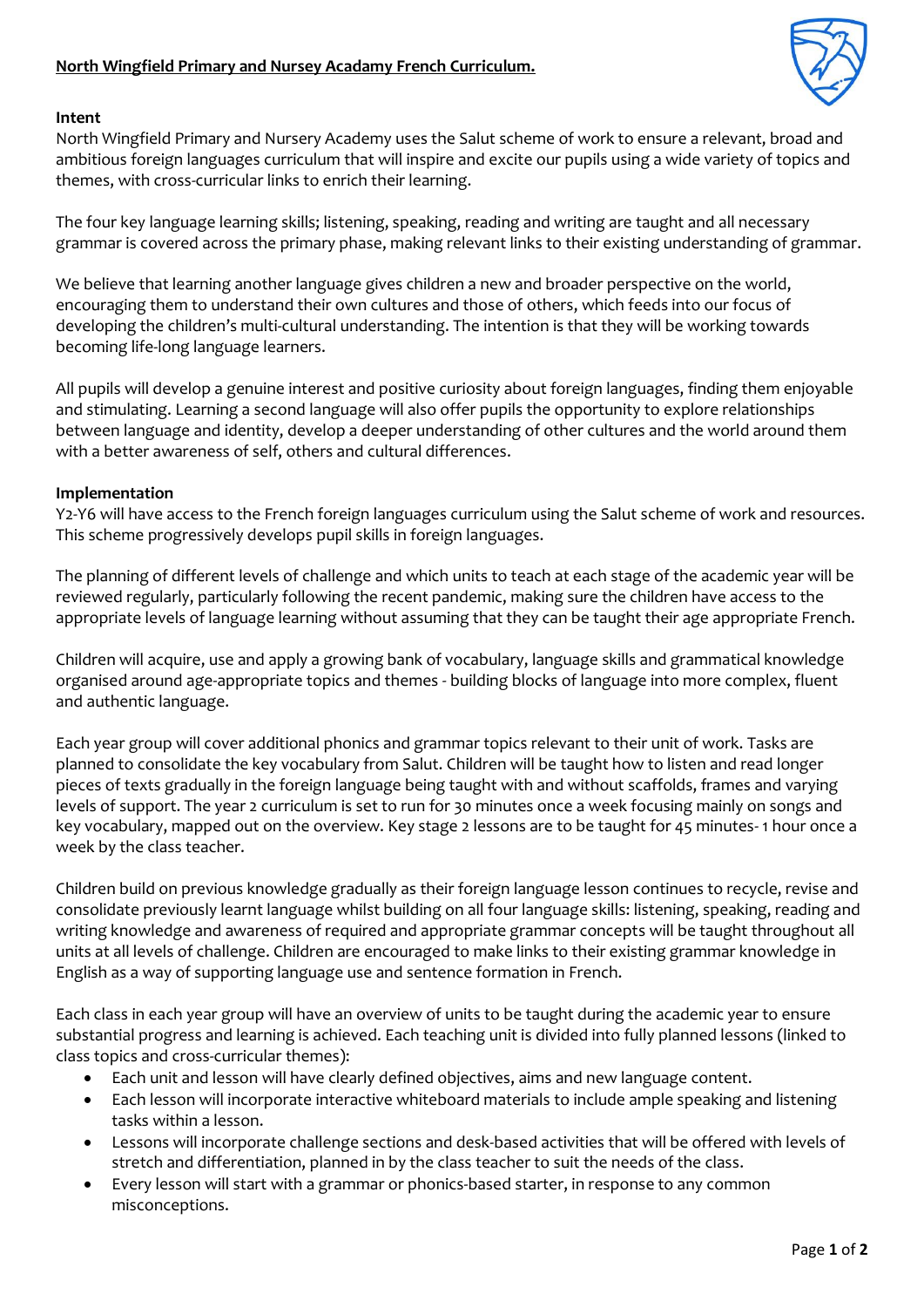

## **Intent**

North Wingfield Primary and Nursery Academy uses the Salut scheme of work to ensure a relevant, broad and ambitious foreign languages curriculum that will inspire and excite our pupils using a wide variety of topics and themes, with cross-curricular links to enrich their learning.

The four key language learning skills; listening, speaking, reading and writing are taught and all necessary grammar is covered across the primary phase, making relevant links to their existing understanding of grammar.

We believe that learning another language gives children a new and broader perspective on the world, encouraging them to understand their own cultures and those of others, which feeds into our focus of developing the children's multi-cultural understanding. The intention is that they will be working towards becoming life-long language learners.

All pupils will develop a genuine interest and positive curiosity about foreign languages, finding them enjoyable and stimulating. Learning a second language will also offer pupils the opportunity to explore relationships between language and identity, develop a deeper understanding of other cultures and the world around them with a better awareness of self, others and cultural differences.

## **Implementation**

Y2-Y6 will have access to the French foreign languages curriculum using the Salut scheme of work and resources. This scheme progressively develops pupil skills in foreign languages.

The planning of different levels of challenge and which units to teach at each stage of the academic year will be reviewed regularly, particularly following the recent pandemic, making sure the children have access to the appropriate levels of language learning without assuming that they can be taught their age appropriate French.

Children will acquire, use and apply a growing bank of vocabulary, language skills and grammatical knowledge organised around age-appropriate topics and themes - building blocks of language into more complex, fluent and authentic language.

Each year group will cover additional phonics and grammar topics relevant to their unit of work. Tasks are planned to consolidate the key vocabulary from Salut. Children will be taught how to listen and read longer pieces of texts gradually in the foreign language being taught with and without scaffolds, frames and varying levels of support. The year 2 curriculum is set to run for 30 minutes once a week focusing mainly on songs and key vocabulary, mapped out on the overview. Key stage 2 lessons are to be taught for 45 minutes- 1 hour once a week by the class teacher.

Children build on previous knowledge gradually as their foreign language lesson continues to recycle, revise and consolidate previously learnt language whilst building on all four language skills: listening, speaking, reading and writing knowledge and awareness of required and appropriate grammar concepts will be taught throughout all units at all levels of challenge. Children are encouraged to make links to their existing grammar knowledge in English as a way of supporting language use and sentence formation in French.

Each class in each year group will have an overview of units to be taught during the academic year to ensure substantial progress and learning is achieved. Each teaching unit is divided into fully planned lessons (linked to class topics and cross-curricular themes):

- Each unit and lesson will have clearly defined objectives, aims and new language content.
- Each lesson will incorporate interactive whiteboard materials to include ample speaking and listening tasks within a lesson.
- Lessons will incorporate challenge sections and desk-based activities that will be offered with levels of stretch and differentiation, planned in by the class teacher to suit the needs of the class.
- Every lesson will start with a grammar or phonics-based starter, in response to any common misconceptions.